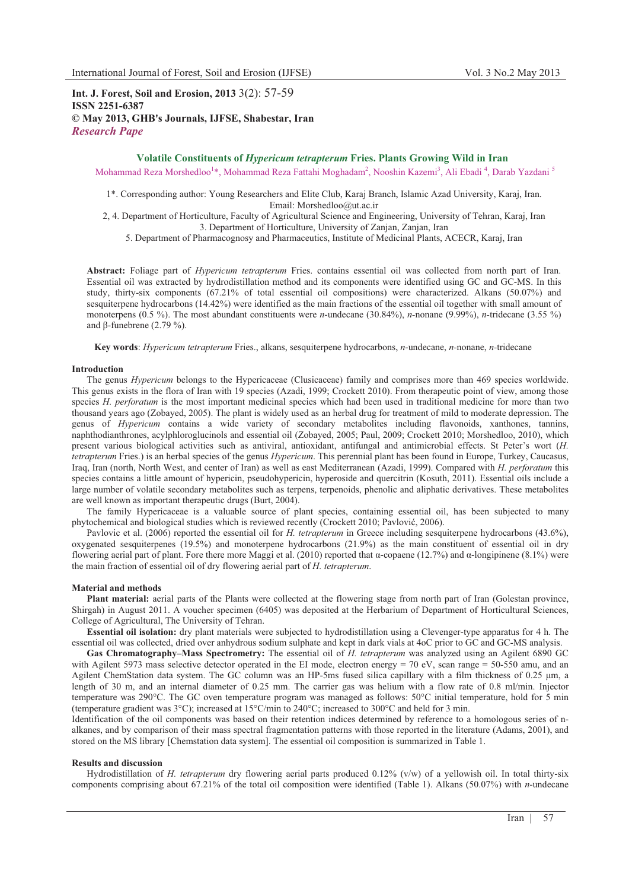**Int. J. Forest, Soil and Erosion, 2013** 3(2): 57-59 **ISSN 2251-6387 © May 2013, GHB's Journals, IJFSE, Shabestar, Iran** *Research Pape* 

# **Volatile Constituents of** *Hypericum tetrapterum* **Fries. Plants Growing Wild in Iran**

Mohammad Reza Morshedloo<sup>1</sup>\*, Mohammad Reza Fattahi Moghadam<sup>2</sup>, Nooshin Kazemi<sup>3</sup>, Ali Ebadi <sup>4</sup>, Darab Yazdani <sup>5</sup>

1\*. Corresponding author: Young Researchers and Elite Club, Karaj Branch, Islamic Azad University, Karaj, Iran. Email: Morshedloo@ut.ac.ir

2, 4. Department of Horticulture, Faculty of Agricultural Science and Engineering, University of Tehran, Karaj, Iran 3. Department of Horticulture, University of Zanjan, Zanjan, Iran

5. Department of Pharmacognosy and Pharmaceutics, Institute of Medicinal Plants, ACECR, Karaj, Iran

**Abstract:** Foliage part of *Hypericum tetrapterum* Fries. contains essential oil was collected from north part of Iran. Essential oil was extracted by hydrodistillation method and its components were identified using GC and GC-MS. In this study, thirty-six components (67.21% of total essential oil compositions) were characterized. Alkans (50.07%) and sesquiterpene hydrocarbons (14.42%) were identified as the main fractions of the essential oil together with small amount of monoterpens (0.5 %). The most abundant constituents were *n*-undecane (30.84%), *n-*nonane (9.99%), *n-*tridecane (3.55 %) and  $\beta$ -funebrene (2.79 %).

**Key words**: *Hypericum tetrapterum* Fries., alkans, sesquiterpene hydrocarbons, *n*-undecane, *n-*nonane, *n-*tridecane

#### **Introduction**

The genus *Hypericum* belongs to the Hypericaceae (Clusicaceae) family and comprises more than 469 species worldwide. This genus exists in the flora of Iran with 19 species (Azadi, 1999; Crockett 2010). From therapeutic point of view, among those species *H. perforatum* is the most important medicinal species which had been used in traditional medicine for more than two thousand years ago (Zobayed, 2005). The plant is widely used as an herbal drug for treatment of mild to moderate depression. The genus of *Hypericum* contains a wide variety of secondary metabolites including flavonoids, xanthones, tannins, naphthodianthrones, acylphloroglucinols and essential oil (Zobayed, 2005; Paul, 2009; Crockett 2010; Morshedloo, 2010), which present various biological activities such as antiviral, antioxidant, antifungal and antimicrobial effects. St Peter's wort (*H. tetrapterum* Fries.) is an herbal species of the genus *Hypericum*. This perennial plant has been found in Europe, Turkey, Caucasus, Iraq, Iran (north, North West, and center of Iran) as well as east Mediterranean (Azadi, 1999). Compared with *H. perforatum* this species contains a little amount of hypericin, pseudohypericin, hyperoside and quercitrin (Kosuth, 2011). Essential oils include a large number of volatile secondary metabolites such as terpens, terpenoids, phenolic and aliphatic derivatives. These metabolites are well known as important therapeutic drugs (Burt, 2004).

The family Hypericaceae is a valuable source of plant species, containing essential oil, has been subjected to many phytochemical and biological studies which is reviewed recently (Crockett 2010; Pavlović, 2006).

Pavlovic et al. (2006) reported the essential oil for *H. tetrapterum* in Greece including sesquiterpene hydrocarbons (43.6%), oxygenated sesquiterpenes (19.5%) and monoterpene hydrocarbons (21.9%) as the main constituent of essential oil in dry flowering aerial part of plant. Fore there more Maggi et al. (2010) reported that  $\alpha$ -copaene (12.7%) and  $\alpha$ -longipinene (8.1%) were the main fraction of essential oil of dry flowering aerial part of *H. tetrapterum*.

### **Material and methods**

**Plant material:** aerial parts of the Plants were collected at the flowering stage from north part of Iran (Golestan province, Shirgah) in August 2011. A voucher specimen (6405) was deposited at the Herbarium of Department of Horticultural Sciences, College of Agricultural, The University of Tehran.

**Essential oil isolation:** dry plant materials were subjected to hydrodistillation using a Clevenger-type apparatus for 4 h. The essential oil was collected, dried over anhydrous sodium sulphate and kept in dark vials at 4oC prior to GC and GC-MS analysis.

**Gas Chromatography–Mass Spectrometry:** The essential oil of *H. tetrapterum* was analyzed using an Agilent 6890 GC with Agilent 5973 mass selective detector operated in the EI mode, electron energy = 70 eV, scan range = 50-550 amu, and an Agilent ChemStation data system. The GC column was an HP-5ms fused silica capillary with a film thickness of 0.25 µm, a length of 30 m, and an internal diameter of 0.25 mm. The carrier gas was helium with a flow rate of 0.8 ml/min. Injector temperature was 290°C. The GC oven temperature program was managed as follows: 50°C initial temperature, hold for 5 min (temperature gradient was 3°C); increased at 15°C/min to 240°C; increased to 300°C and held for 3 min.

Identification of the oil components was based on their retention indices determined by reference to a homologous series of nalkanes, and by comparison of their mass spectral fragmentation patterns with those reported in the literature (Adams, 2001), and stored on the MS library [Chemstation data system]. The essential oil composition is summarized in Table 1.

# **Results and discussion**

Hydrodistillation of *H. tetrapterum* dry flowering aerial parts produced 0.12% (v/w) of a yellowish oil. In total thirty-six components comprising about 67.21% of the total oil composition were identified (Table 1). Alkans (50.07%) with *n*-undecane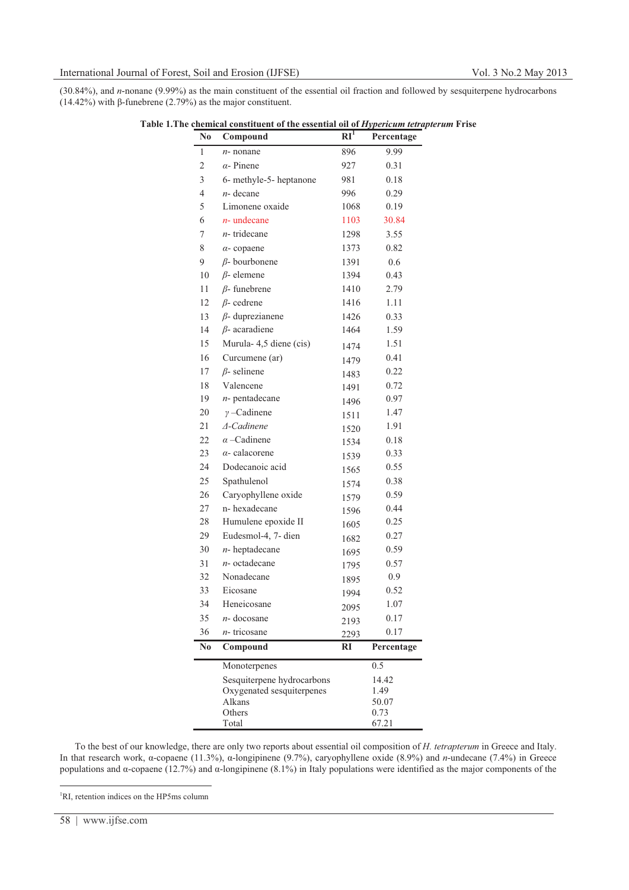(30.84%), and *n*-nonane (9.99%) as the main constituent of the essential oil fraction and followed by sesquiterpene hydrocarbons  $(14.42\%)$  with  $\beta$ -funebrene  $(2.79\%)$  as the major constituent.

| N <sub>0</sub> | Compound                   | $RI^1$ | Percentage    |
|----------------|----------------------------|--------|---------------|
| 1              | $n$ - nonane               | 896    | 9.99          |
| 2              | $\alpha$ - Pinene          | 927    | 0.31          |
| 3              | 6- methyle-5- heptanone    | 981    | 0.18          |
| 4              | $n-$ decane                | 996    | 0.29          |
| 5              | Limonene oxaide            | 1068   | 0.19          |
| 6              | $n$ - undecane             | 1103   | 30.84         |
| 7              | $n$ - tridecane            | 1298   | 3.55          |
| 8              | $\alpha$ - copaene         | 1373   | 0.82          |
| 9              | $\beta$ - bourbonene       | 1391   | 0.6           |
| 10             | $\beta$ - elemene          | 1394   | 0.43          |
| 11             | $\beta$ - funebrene        | 1410   | 2.79          |
| 12             | $\beta$ - cedrene          | 1416   | 1.11          |
| 13             | $\beta$ - duprezianene     | 1426   | 0.33          |
| 14             | $\beta$ - acaradiene       | 1464   | 1.59          |
| 15             | Murula- 4,5 diene (cis)    | 1474   | 1.51          |
| 16             | Curcumene (ar)             | 1479   | 0.41          |
| 17             | $\beta$ - selinene         | 1483   | 0.22          |
| 18             | Valencene                  | 1491   | 0.72          |
| 19             | $n$ - pentadecane          | 1496   | 0.97          |
| 20             | $\nu$ -Cadinene            | 1511   | 1.47          |
| 21             | ∆-Cadinene                 | 1520   | 1.91          |
| 22             | $\alpha$ -Cadinene         | 1534   | 0.18          |
| 23             | $\alpha$ - calacorene      | 1539   | 0.33          |
| 24             | Dodecanoic acid            | 1565   | 0.55          |
| 25             | Spathulenol                | 1574   | 0.38          |
| 26             | Caryophyllene oxide        | 1579   | 0.59          |
| 27             | n-hexadecane               | 1596   | 0.44          |
| 28             | Humulene epoxide II        | 1605   | 0.25          |
| 29             | Eudesmol-4, 7- dien        | 1682   | 0.27          |
| 30             | $n$ - heptadecane          | 1695   | 0.59          |
| 31             | $n$ - octadecane           | 1795   | 0.57          |
| 32             | Nonadecane                 | 1895   | 0.9           |
| 33             | Eicosane                   | 1994   | 0.52          |
| 34             | Heneicosane                | 2095   | 1.07          |
| 35             | n- docosane                | 2193   | 0.17          |
| 36             | $n$ - tricosane            | 2293   | 0.17          |
| N <sub>0</sub> | Compound                   | RI     | Percentage    |
|                | Monoterpenes               |        | 0.5           |
|                | Sesquiterpene hydrocarbons |        | 14.42         |
|                | Oxygenated sesquiterpenes  |        | 1.49          |
|                | Alkans<br>Others           |        | 50.07<br>0.73 |
|                | Total                      |        | 67.21         |

**Table 1.The chemical constituent of the essential oil of** *Hypericum tetrapterum* **Frise**

To the best of our knowledge, there are only two reports about essential oil composition of *H. tetrapterum* in Greece and Italy. In that research work,  $\alpha$ -copaene (11.3%),  $\alpha$ -longipinene (9.7%), caryophyllene oxide (8.9%) and *n*-undecane (7.4%) in Greece populations and  $\alpha$ -copaene (12.7%) and  $\alpha$ -longipinene (8.1%) in Italy populations were identified as the major components of the

<sup>&</sup>lt;sup>1</sup>RI, retention indices on the HP5ms column